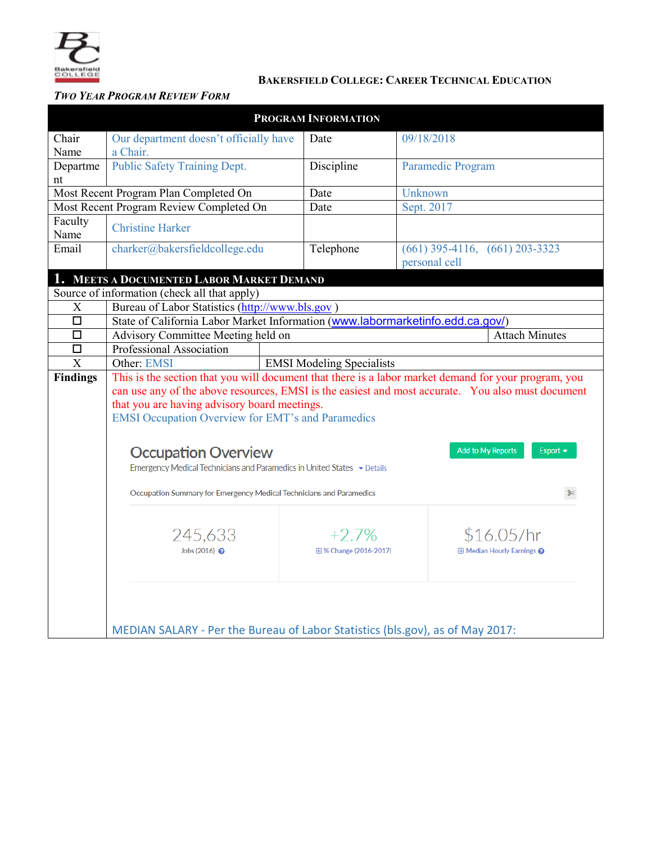

# **BAKERSFIELD COLLEGE: CAREER TECHNICAL EDUCATION**

# *TWO YEAR PROGRAM REVIEW FORM*

|                 |                                                                                                   | <b>PROGRAM INFORMATION</b>                                                                           |                                    |  |  |  |  |  |
|-----------------|---------------------------------------------------------------------------------------------------|------------------------------------------------------------------------------------------------------|------------------------------------|--|--|--|--|--|
| Chair           | Our department doesn't officially have                                                            | Date                                                                                                 | 09/18/2018                         |  |  |  |  |  |
| Name            | a Chair.                                                                                          |                                                                                                      |                                    |  |  |  |  |  |
| Departme        | <b>Public Safety Training Dept.</b>                                                               | Discipline                                                                                           | Paramedic Program                  |  |  |  |  |  |
| nt              |                                                                                                   |                                                                                                      |                                    |  |  |  |  |  |
|                 | Most Recent Program Plan Completed On                                                             | Date                                                                                                 | Unknown                            |  |  |  |  |  |
|                 | Most Recent Program Review Completed On                                                           |                                                                                                      | Sept. 2017                         |  |  |  |  |  |
| Faculty         |                                                                                                   |                                                                                                      |                                    |  |  |  |  |  |
| Name            | <b>Christine Harker</b>                                                                           |                                                                                                      |                                    |  |  |  |  |  |
| Email           | charker@bakersfieldcollege.edu                                                                    | Telephone                                                                                            | $(661)$ 395-4116, $(661)$ 203-3323 |  |  |  |  |  |
|                 |                                                                                                   |                                                                                                      | personal cell                      |  |  |  |  |  |
|                 | MEETS A DOCUMENTED LABOR MARKET DEMAND                                                            |                                                                                                      |                                    |  |  |  |  |  |
|                 | Source of information (check all that apply)                                                      |                                                                                                      |                                    |  |  |  |  |  |
| X               | Bureau of Labor Statistics (http://www.bls.gov)                                                   |                                                                                                      |                                    |  |  |  |  |  |
| $\Box$          | State of California Labor Market Information (www.labormarketinfo.edd.ca.gov/)                    |                                                                                                      |                                    |  |  |  |  |  |
| $\Box$          | Advisory Committee Meeting held on                                                                |                                                                                                      | <b>Attach Minutes</b>              |  |  |  |  |  |
| $\Box$          | Professional Association                                                                          |                                                                                                      |                                    |  |  |  |  |  |
| $\overline{X}$  | Other: EMSI                                                                                       | <b>EMSI Modeling Specialists</b>                                                                     |                                    |  |  |  |  |  |
| <b>Findings</b> |                                                                                                   | This is the section that you will document that there is a labor market demand for your program, you |                                    |  |  |  |  |  |
|                 | can use any of the above resources, EMSI is the easiest and most accurate. You also must document |                                                                                                      |                                    |  |  |  |  |  |
|                 | that you are having advisory board meetings.                                                      |                                                                                                      |                                    |  |  |  |  |  |
|                 | <b>EMSI Occupation Overview for EMT's and Paramedics</b>                                          |                                                                                                      |                                    |  |  |  |  |  |
|                 |                                                                                                   |                                                                                                      |                                    |  |  |  |  |  |
|                 | <b>Add to My Reports</b><br>Export $\blacktriangledown$<br><b>Occupation Overview</b>             |                                                                                                      |                                    |  |  |  |  |  |
|                 | Emergency Medical Technicians and Paramedics in United States v Details                           |                                                                                                      |                                    |  |  |  |  |  |
|                 |                                                                                                   |                                                                                                      |                                    |  |  |  |  |  |
|                 | Occupation Summary for Emergency Medical Technicians and Paramedics<br>9≪                         |                                                                                                      |                                    |  |  |  |  |  |
|                 |                                                                                                   |                                                                                                      |                                    |  |  |  |  |  |
|                 | 245,633                                                                                           | $+2.7%$                                                                                              | \$16.05/hr                         |  |  |  |  |  |
|                 | Jobs (2016) @                                                                                     | 田% Change (2016-2017)                                                                                | <b>⊞ Median Hourly Earnings @</b>  |  |  |  |  |  |
|                 |                                                                                                   |                                                                                                      |                                    |  |  |  |  |  |
|                 |                                                                                                   |                                                                                                      |                                    |  |  |  |  |  |
|                 |                                                                                                   |                                                                                                      |                                    |  |  |  |  |  |
|                 |                                                                                                   |                                                                                                      |                                    |  |  |  |  |  |
|                 |                                                                                                   |                                                                                                      |                                    |  |  |  |  |  |
|                 | MEDIAN SALARY - Per the Bureau of Labor Statistics (bls.gov), as of May 2017:                     |                                                                                                      |                                    |  |  |  |  |  |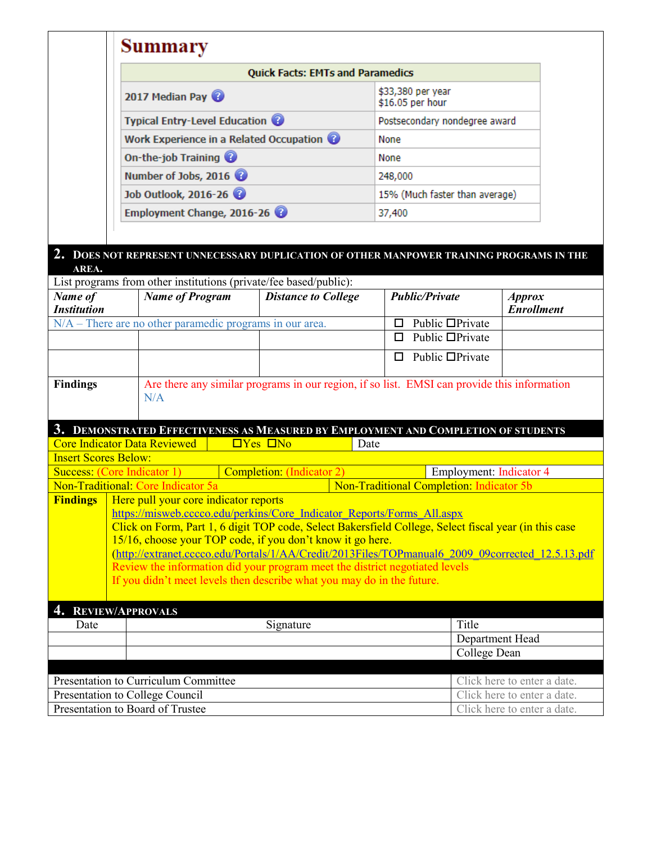|                                                                        |                                                                                                                                                                                                                                                                                                                                                                                                                                                                                                                                                                       | <b>Summary</b>                                                                           |                              |                                                   |                                    |  |  |
|------------------------------------------------------------------------|-----------------------------------------------------------------------------------------------------------------------------------------------------------------------------------------------------------------------------------------------------------------------------------------------------------------------------------------------------------------------------------------------------------------------------------------------------------------------------------------------------------------------------------------------------------------------|------------------------------------------------------------------------------------------|------------------------------|---------------------------------------------------|------------------------------------|--|--|
|                                                                        |                                                                                                                                                                                                                                                                                                                                                                                                                                                                                                                                                                       | <b>Quick Facts: EMTs and Paramedics</b>                                                  |                              |                                                   |                                    |  |  |
|                                                                        | 2017 Median Pay                                                                                                                                                                                                                                                                                                                                                                                                                                                                                                                                                       |                                                                                          |                              | \$33,380 per year<br>\$16.05 per hour             |                                    |  |  |
|                                                                        | <b>Typical Entry-Level Education @</b>                                                                                                                                                                                                                                                                                                                                                                                                                                                                                                                                |                                                                                          |                              | Postsecondary nondegree award                     |                                    |  |  |
|                                                                        | Work Experience in a Related Occupation @                                                                                                                                                                                                                                                                                                                                                                                                                                                                                                                             |                                                                                          |                              | None                                              |                                    |  |  |
|                                                                        | On-the-job Training<br>Number of Jobs, 2016<br>Job Outlook, 2016-26                                                                                                                                                                                                                                                                                                                                                                                                                                                                                                   |                                                                                          |                              | None<br>248,000<br>15% (Much faster than average) |                                    |  |  |
|                                                                        |                                                                                                                                                                                                                                                                                                                                                                                                                                                                                                                                                                       |                                                                                          |                              |                                                   |                                    |  |  |
|                                                                        |                                                                                                                                                                                                                                                                                                                                                                                                                                                                                                                                                                       |                                                                                          |                              |                                                   |                                    |  |  |
|                                                                        | Employment Change, 2016-26                                                                                                                                                                                                                                                                                                                                                                                                                                                                                                                                            |                                                                                          | 37,400                       |                                                   |                                    |  |  |
|                                                                        |                                                                                                                                                                                                                                                                                                                                                                                                                                                                                                                                                                       |                                                                                          |                              |                                                   |                                    |  |  |
|                                                                        |                                                                                                                                                                                                                                                                                                                                                                                                                                                                                                                                                                       | 2. DOES NOT REPRESENT UNNECESSARY DUPLICATION OF OTHER MANPOWER TRAINING PROGRAMS IN THE |                              |                                                   |                                    |  |  |
| AREA.                                                                  |                                                                                                                                                                                                                                                                                                                                                                                                                                                                                                                                                                       |                                                                                          |                              |                                                   |                                    |  |  |
|                                                                        |                                                                                                                                                                                                                                                                                                                                                                                                                                                                                                                                                                       | List programs from other institutions (private/fee based/public):                        |                              |                                                   |                                    |  |  |
| Name of<br><b>Institution</b>                                          |                                                                                                                                                                                                                                                                                                                                                                                                                                                                                                                                                                       | <b>Name of Program</b>                                                                   | <b>Distance to College</b>   | <b>Public/Private</b>                             | <b>Approx</b><br><b>Enrollment</b> |  |  |
|                                                                        |                                                                                                                                                                                                                                                                                                                                                                                                                                                                                                                                                                       | $N/A$ – There are no other paramedic programs in our area.                               |                              | Public □Private<br>$\Box$                         |                                    |  |  |
|                                                                        |                                                                                                                                                                                                                                                                                                                                                                                                                                                                                                                                                                       |                                                                                          |                              | Public $\Box$ Private<br>п                        |                                    |  |  |
|                                                                        |                                                                                                                                                                                                                                                                                                                                                                                                                                                                                                                                                                       |                                                                                          |                              | Public □Private<br>$\Box$                         |                                    |  |  |
| <b>Findings</b>                                                        | Are there any similar programs in our region, if so list. EMSI can provide this information<br>N/A                                                                                                                                                                                                                                                                                                                                                                                                                                                                    |                                                                                          |                              |                                                   |                                    |  |  |
|                                                                        |                                                                                                                                                                                                                                                                                                                                                                                                                                                                                                                                                                       | 3. DEMONSTRATED EFFECTIVENESS AS MEASURED BY EMPLOYMENT AND COMPLETION OF STUDENTS       |                              |                                                   |                                    |  |  |
|                                                                        |                                                                                                                                                                                                                                                                                                                                                                                                                                                                                                                                                                       | <b>Core Indicator Data Reviewed</b>                                                      | $\Box$ Yes $\Box$ No<br>Date |                                                   |                                    |  |  |
| <b>Insert Scores Below:</b>                                            |                                                                                                                                                                                                                                                                                                                                                                                                                                                                                                                                                                       |                                                                                          |                              |                                                   |                                    |  |  |
| <b>Success: (Core Indicator 1)</b><br><b>Completion:</b> (Indicator 2) |                                                                                                                                                                                                                                                                                                                                                                                                                                                                                                                                                                       | Employment: Indicator 4                                                                  |                              |                                                   |                                    |  |  |
|                                                                        |                                                                                                                                                                                                                                                                                                                                                                                                                                                                                                                                                                       | Non-Traditional: Core Indicator 5a                                                       |                              | Non-Traditional Completion: Indicator 5b          |                                    |  |  |
|                                                                        | <b>Findings</b>   Here pull your core indicator reports<br>https://misweb.cccco.edu/perkins/Core Indicator Reports/Forms All.aspx<br>Click on Form, Part 1, 6 digit TOP code, Select Bakersfield College, Select fiscal year (in this case<br>15/16, choose your TOP code, if you don't know it go here.<br>(http://extranet.cccco.edu/Portals/1/AA/Credit/2013Files/TOPmanual6 2009 09corrected 12.5.13.pdf<br>Review the information did your program meet the district negotiated levels<br>If you didn't meet levels then describe what you may do in the future. |                                                                                          |                              |                                                   |                                    |  |  |
| 4. REVIEW/APPROVALS                                                    |                                                                                                                                                                                                                                                                                                                                                                                                                                                                                                                                                                       |                                                                                          |                              |                                                   |                                    |  |  |
| Date                                                                   |                                                                                                                                                                                                                                                                                                                                                                                                                                                                                                                                                                       | Signature                                                                                |                              | Title                                             |                                    |  |  |
|                                                                        |                                                                                                                                                                                                                                                                                                                                                                                                                                                                                                                                                                       |                                                                                          |                              |                                                   | Department Head                    |  |  |
|                                                                        |                                                                                                                                                                                                                                                                                                                                                                                                                                                                                                                                                                       |                                                                                          |                              |                                                   | College Dean                       |  |  |
|                                                                        |                                                                                                                                                                                                                                                                                                                                                                                                                                                                                                                                                                       | Presentation to Curriculum Committee                                                     |                              |                                                   | Click here to enter a date.        |  |  |
|                                                                        |                                                                                                                                                                                                                                                                                                                                                                                                                                                                                                                                                                       | Presentation to College Council                                                          |                              |                                                   | Click here to enter a date.        |  |  |
|                                                                        |                                                                                                                                                                                                                                                                                                                                                                                                                                                                                                                                                                       |                                                                                          |                              |                                                   |                                    |  |  |